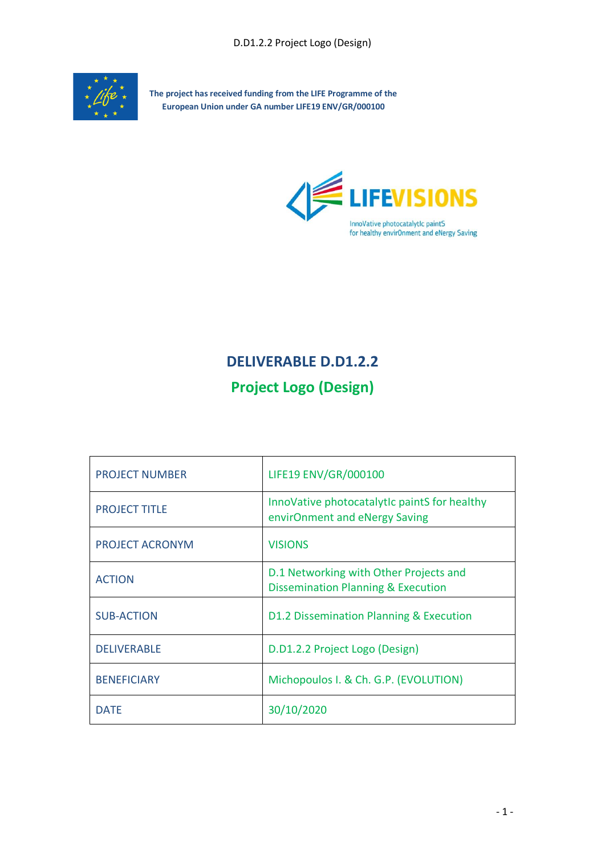

**The project has received funding from the LIFE Programme of the European Union under GA number LIFE19 ENV/GR/000100**



# **DELIVERABLE D.D1.2.2**

# **Project Logo (Design)**

| <b>PROJECT NUMBER</b> | LIFE19 ENV/GR/000100                                                                    |
|-----------------------|-----------------------------------------------------------------------------------------|
| <b>PROJECT TITLE</b>  | InnoVative photocatalytic paintS for healthy<br>envirOnment and eNergy Saving           |
| PROJECT ACRONYM       | <b>VISIONS</b>                                                                          |
| <b>ACTION</b>         | D.1 Networking with Other Projects and<br><b>Dissemination Planning &amp; Execution</b> |
| <b>SUB-ACTION</b>     | D1.2 Dissemination Planning & Execution                                                 |
| <b>DELIVERABLE</b>    | D.D1.2.2 Project Logo (Design)                                                          |
| <b>BENEFICIARY</b>    | Michopoulos I. & Ch. G.P. (EVOLUTION)                                                   |
| <b>DATE</b>           | 30/10/2020                                                                              |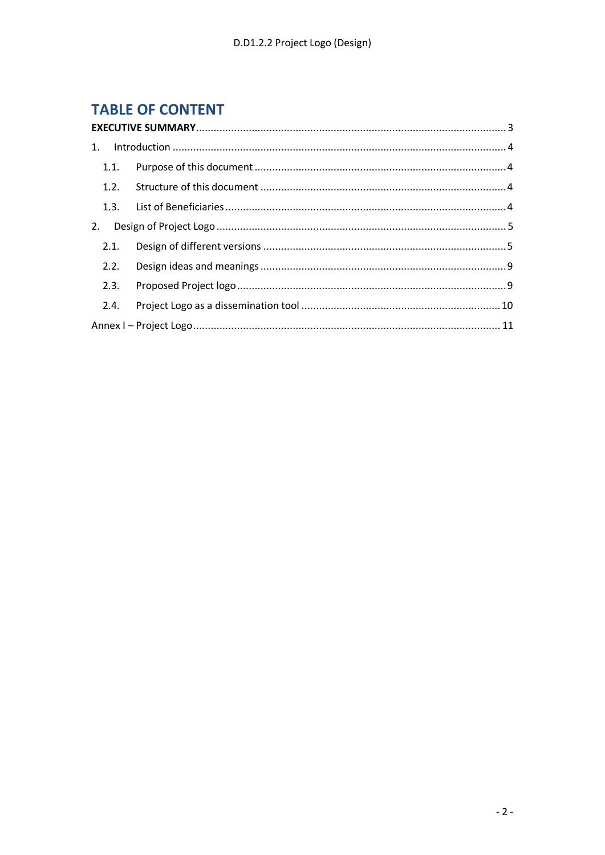## **TABLE OF CONTENT**

| $1_{\cdot}$ | Introduction 4 |  |
|-------------|----------------|--|
| 1.1.        |                |  |
| 1.2.        |                |  |
|             |                |  |
| 2.          |                |  |
| 2.1.        |                |  |
| 2.2.        |                |  |
| 2.3.        |                |  |
| 2.4.        |                |  |
|             |                |  |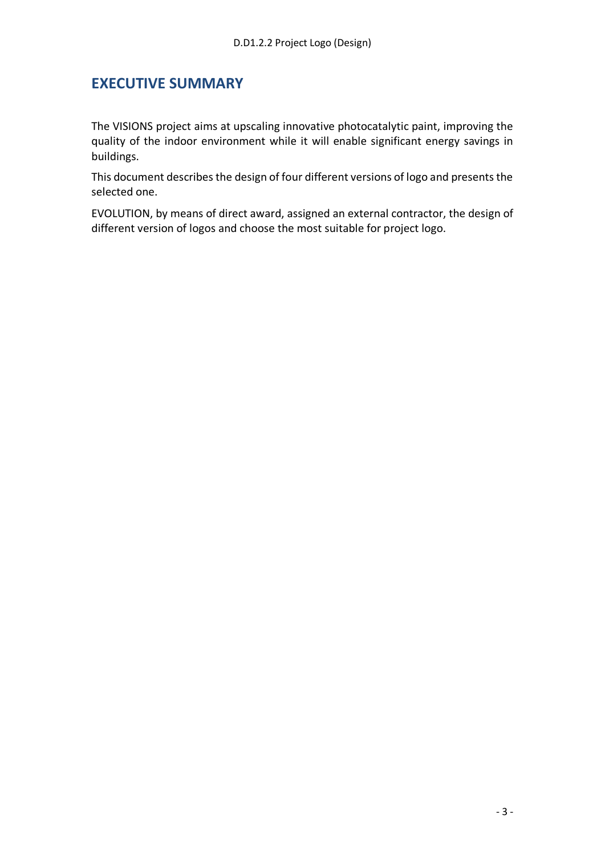### <span id="page-2-0"></span>**EXECUTIVE SUMMARY**

The VISIONS project aims at upscaling innovative photocatalytic paint, improving the quality of the indoor environment while it will enable significant energy savings in buildings.

This document describes the design of four different versions of logo and presents the selected one.

EVOLUTION, by means of direct award, assigned an external contractor, the design of different version of logos and choose the most suitable for project logo.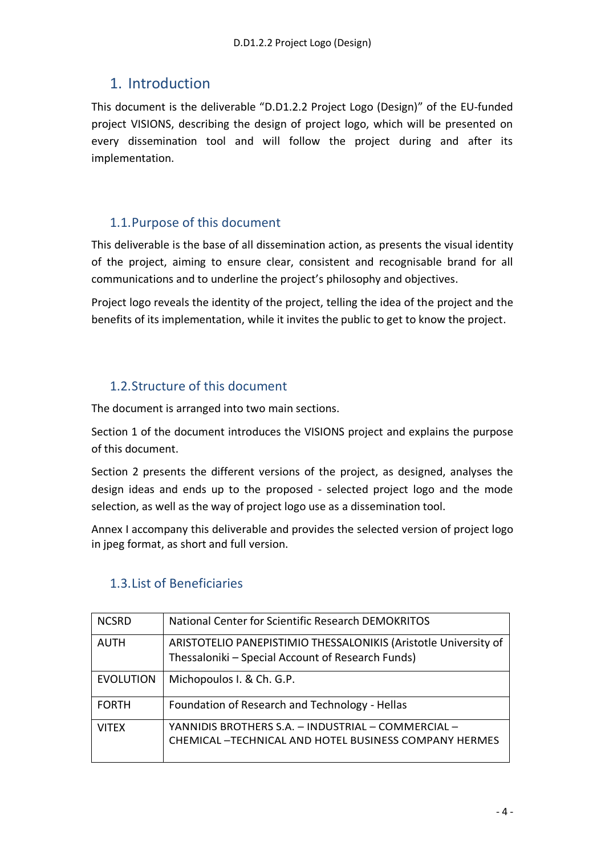### <span id="page-3-0"></span>1. Introduction

This document is the deliverable "D.D1.2.2 Project Logo (Design)" of the EU‐funded project VISIONS, describing the design of project logo, which will be presented on every dissemination tool and will follow the project during and after its implementation.

#### <span id="page-3-1"></span>1.1.Purpose of this document

This deliverable is the base of all dissemination action, as presents the visual identity of the project, aiming to ensure clear, consistent and recognisable brand for all communications and to underline the project's philosophy and objectives.

Project logo reveals the identity of the project, telling the idea of the project and the benefits of its implementation, while it invites the public to get to know the project.

#### <span id="page-3-2"></span>1.2.Structure of this document

The document is arranged into two main sections.

Section 1 of the document introduces the VISIONS project and explains the purpose of this document.

Section 2 presents the different versions of the project, as designed, analyses the design ideas and ends up to the proposed - selected project logo and the mode selection, as well as the way of project logo use as a dissemination tool.

Annex I accompany this deliverable and provides the selected version of project logo in jpeg format, as short and full version.

#### <span id="page-3-3"></span>1.3.List of Beneficiaries

| <b>NCSRD</b>     | National Center for Scientific Research DEMOKRITOS                                                                   |
|------------------|----------------------------------------------------------------------------------------------------------------------|
| <b>AUTH</b>      | ARISTOTELIO PANEPISTIMIO THESSALONIKIS (Aristotle University of<br>Thessaloniki - Special Account of Research Funds) |
| <b>EVOLUTION</b> | Michopoulos I. & Ch. G.P.                                                                                            |
| <b>FORTH</b>     | Foundation of Research and Technology - Hellas                                                                       |
| <b>VITEX</b>     | YANNIDIS BROTHERS S.A. - INDUSTRIAL - COMMERCIAL -<br><b>CHEMICAL - TECHNICAL AND HOTEL BUSINESS COMPANY HERMES</b>  |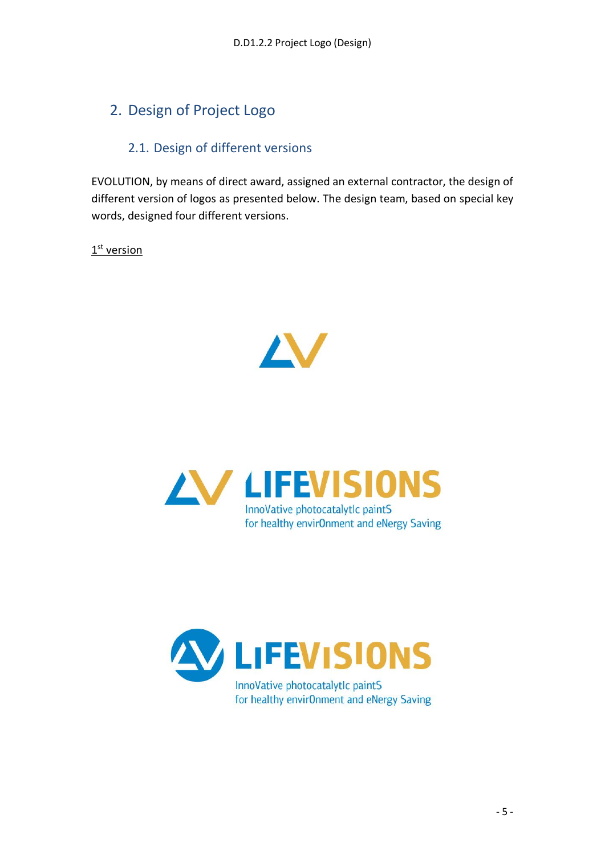# <span id="page-4-0"></span>2. Design of Project Logo

### 2.1. Design of different versions

<span id="page-4-1"></span>EVOLUTION, by means of direct award, assigned an external contractor, the design of different version of logos as presented below. The design team, based on special key words, designed four different versions.

1<sup>st</sup> version





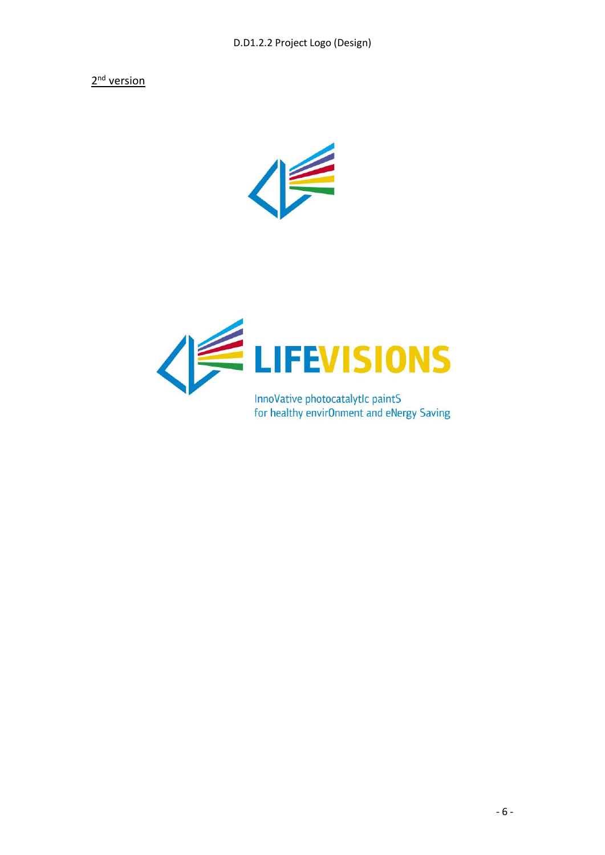2<sup>nd</sup> version



InnoVative photocatalytIc paintS for healthy envirOnment and eNergy Saving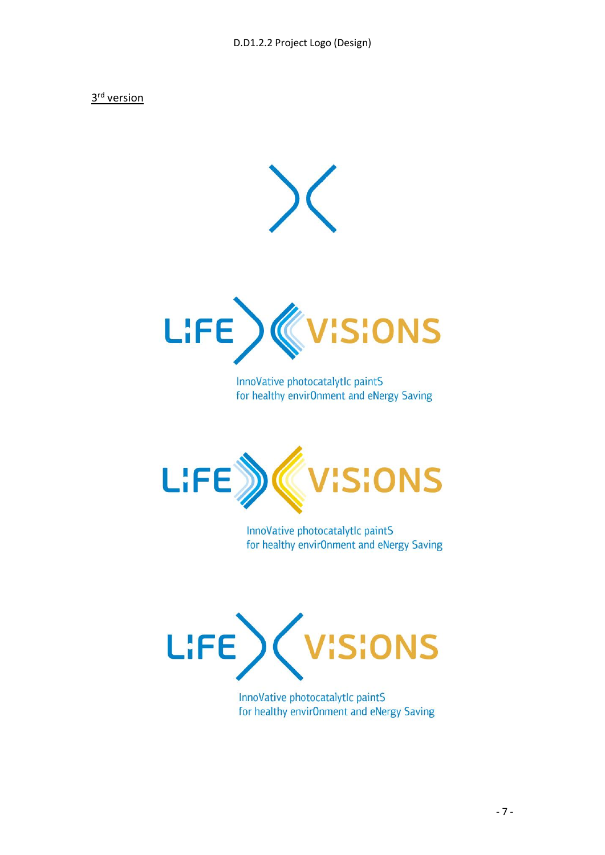3<sup>rd</sup> version



InnoVative photocatalytic paintS for healthy envirOnment and eNergy Saving



InnoVative photocatalytIc paintS for healthy envirOnment and eNergy Saving



InnoVative photocatalytlc paintS for healthy envirOnment and eNergy Saving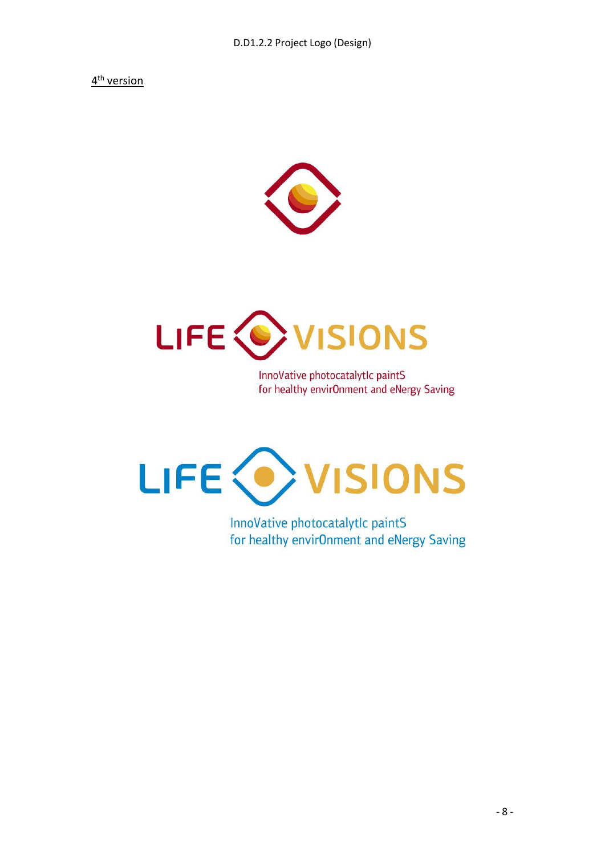4<sup>th</sup> version





InnoVative photocatalytIc paintS for healthy envirOnment and eNergy Saving



InnoVative photocatalytIc paintS for healthy envirOnment and eNergy Saving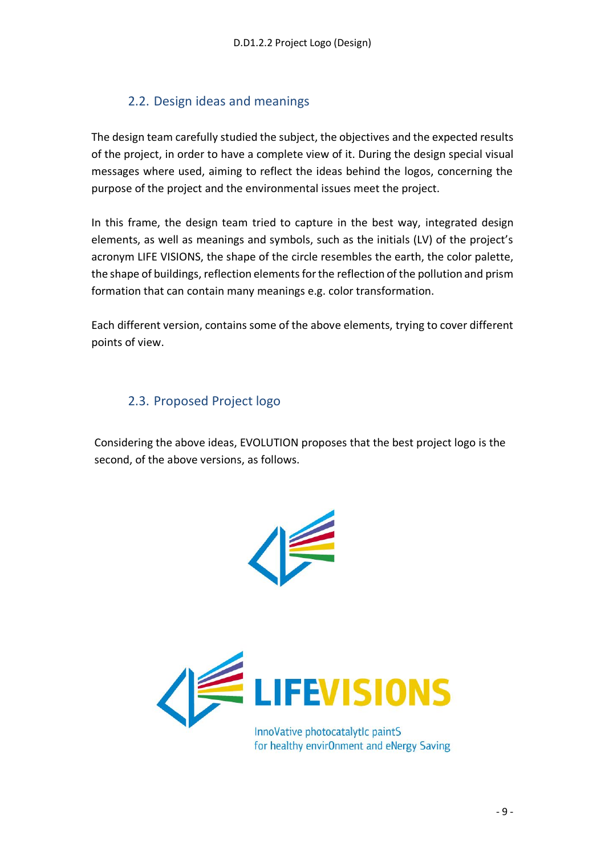#### <span id="page-8-0"></span>2.2. Design ideas and meanings

The design team carefully studied the subject, the objectives and the expected results of the project, in order to have a complete view of it. During the design special visual messages where used, aiming to reflect the ideas behind the logos, concerning the purpose of the project and the environmental issues meet the project.

In this frame, the design team tried to capture in the best way, integrated design elements, as well as meanings and symbols, such as the initials (LV) of the project's acronym LIFE VISIONS, the shape of the circle resembles the earth, the color palette, the shape of buildings, reflection elements for the reflection of the pollution and prism formation that can contain many meanings e.g. color transformation.

Each different version, contains some of the above elements, trying to cover different points of view.

#### <span id="page-8-1"></span>2.3. Proposed Project logo

Considering the above ideas, EVOLUTION proposes that the best project logo is the second, of the above versions, as follows.





InnoVative photocatalytIc paintS for healthy envirOnment and eNergy Saving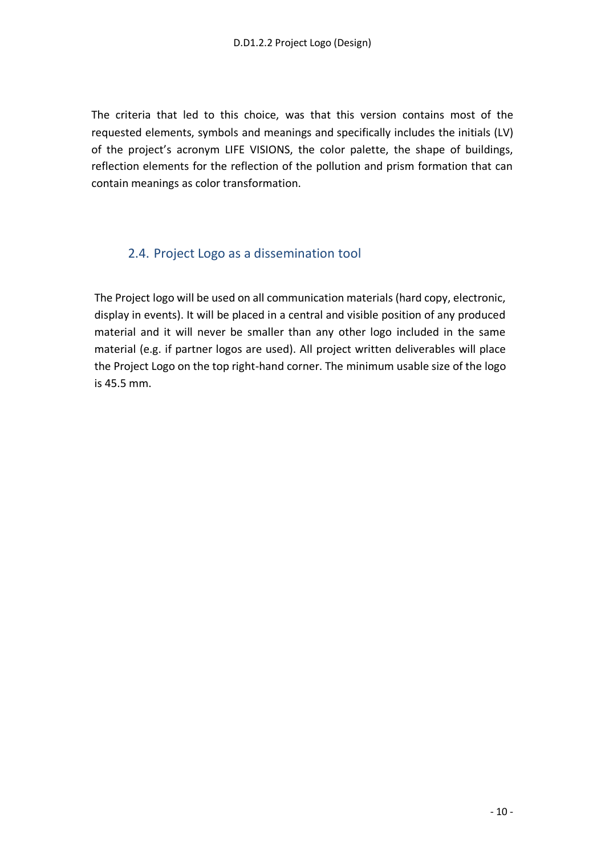Τhe criteria that led to this choice, was that this version contains most of the requested elements, symbols and meanings and specifically includes the initials (LV) of the project's acronym LIFE VISIONS, the color palette, the shape of buildings, reflection elements for the reflection of the pollution and prism formation that can contain meanings as color transformation.

#### <span id="page-9-0"></span>2.4. Project Logo as a dissemination tool

The Project logo will be used on all communication materials (hard copy, electronic, display in events). It will be placed in a central and visible position of any produced material and it will never be smaller than any other logo included in the same material (e.g. if partner logos are used). All project written deliverables will place the Project Logo on the top right-hand corner. The minimum usable size of the logo is 45.5 mm.